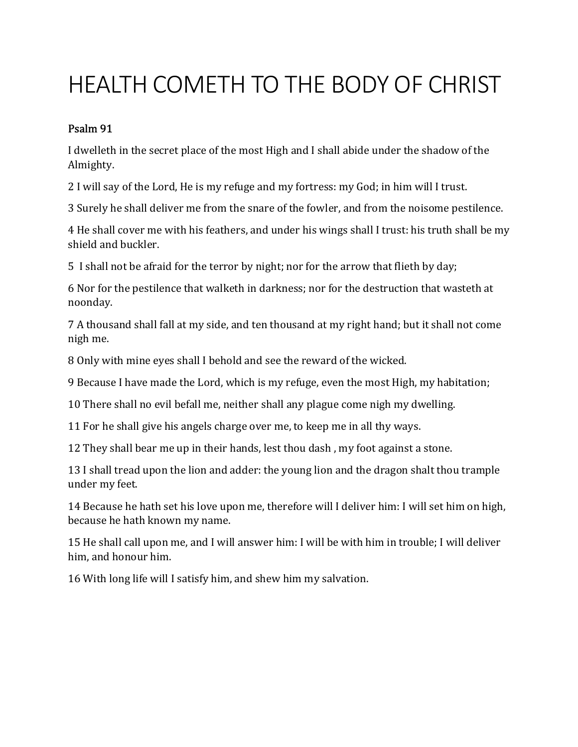## HEALTH COMETH TO THE BODY OF CHRIST

## Psalm 91

I dwelleth in the secret place of the most High and I shall abide under the shadow of the Almighty.

2 I will say of the Lord, He is my refuge and my fortress: my God; in him will I trust.

3 Surely he shall deliver me from the snare of the fowler, and from the noisome pestilence.

4 He shall cover me with his feathers, and under his wings shall I trust: his truth shall be my shield and buckler.

5 I shall not be afraid for the terror by night; nor for the arrow that flieth by day;

6 Nor for the pestilence that walketh in darkness; nor for the destruction that wasteth at noonday.

7 A thousand shall fall at my side, and ten thousand at my right hand; but it shall not come nigh me.

8 Only with mine eyes shall I behold and see the reward of the wicked.

9 Because I have made the Lord, which is my refuge, even the most High, my habitation;

10 There shall no evil befall me, neither shall any plague come nigh my dwelling.

11 For he shall give his angels charge over me, to keep me in all thy ways.

12 They shall bear me up in their hands, lest thou dash , my foot against a stone.

13 I shall tread upon the lion and adder: the young lion and the dragon shalt thou trample under my feet.

14 Because he hath set his love upon me, therefore will I deliver him: I will set him on high, because he hath known my name.

15 He shall call upon me, and I will answer him: I will be with him in trouble; I will deliver him, and honour him.

16 With long life will I satisfy him, and shew him my salvation.